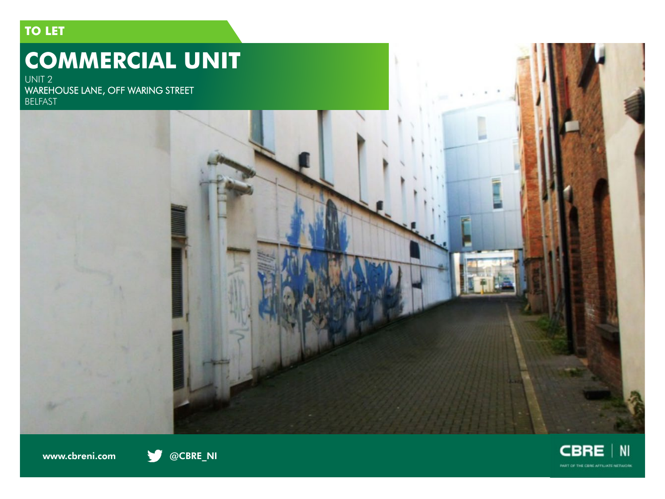## **TO LET**

# **COMMERCIAL UNIT**

UNIT 2 WAREHOUSE LANE, OFF WARING STREET BELFAST





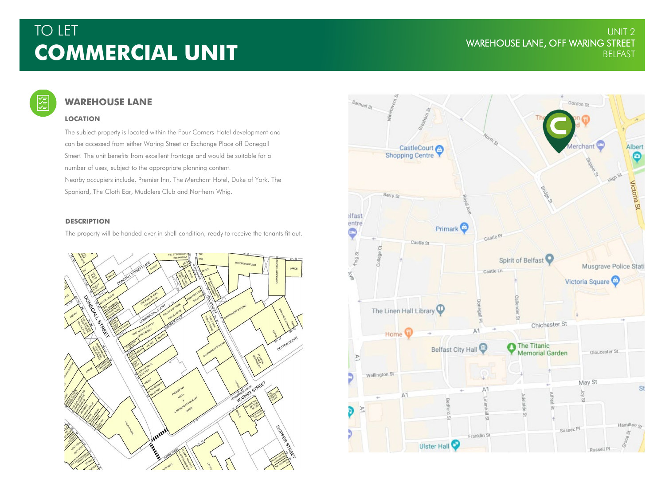## TO LET UNIT 2 WAREHOUSE LANE, OFF WARING STREET **COMMERCIAL UNIT** BELFAST

#### 受 **WAREHOUSE LANE**

### **LOCATION**

The subject property is located within the Four Corners Hotel development and can be accessed from either Waring Street or Exchange Place off Donegall Street. The unit benefits from excellent frontage and would be suitable for a number of uses, subject to the appropriate planning content. Nearby occupiers include, Premier Inn, The Merchant Hotel, Duke of York, The Spaniard, The Cloth Ear, Muddlers Club and Northern Whig.

### **DESCRIPTION**

The property will be handed over in shell condition, ready to receive the tenants fit out.